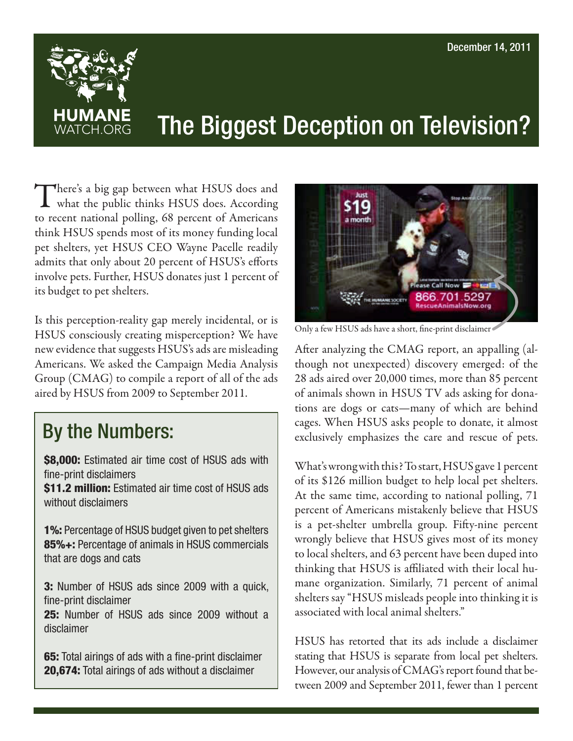

## The Biggest Deception on Television?

There's a big gap between what HSUS does and<br>what the public thinks HSUS does. According to recent national polling, 68 percent of Americans think HSUS spends most of its money funding local pet shelters, yet HSUS CEO Wayne Pacelle readily admits that only about 20 percent of HSUS's efforts involve pets. Further, HSUS donates just 1 percent of its budget to pet shelters.

Is this perception-reality gap merely incidental, or is HSUS consciously creating misperception? We have new evidence that suggests HSUS's ads are misleading Americans. We asked the Campaign Media Analysis Group (CMAG) to compile a report of all of the ads aired by HSUS from 2009 to September 2011.

## By the Numbers:

**\$8,000:** Estimated air time cost of HSUS ads with fine-print disclaimers

**\$11.2 million:** Estimated air time cost of HSUS ads without disclaimers

1%: Percentage of HSUS budget given to pet shelters 85%+: Percentage of animals in HSUS commercials that are dogs and cats

3: Number of HSUS ads since 2009 with a quick, fine-print disclaimer

25: Number of HSUS ads since 2009 without a disclaimer

65: Total airings of ads with a fine-print disclaimer 20,674: Total airings of ads without a disclaimer



Only a few HSUS ads have a short, fine-print disclaimer

After analyzing the CMAG report, an appalling (although not unexpected) discovery emerged: of the 28 ads aired over 20,000 times, more than 85 percent of animals shown in HSUS TV ads asking for donations are dogs or cats—many of which are behind cages. When HSUS asks people to donate, it almost exclusively emphasizes the care and rescue of pets.

What's wrong with this? To start, HSUS gave 1 percent of its \$126 million budget to help local pet shelters. At the same time, according to national polling, 71 percent of Americans mistakenly believe that HSUS is a pet-shelter umbrella group. Fifty-nine percent wrongly believe that HSUS gives most of its money to local shelters, and 63 percent have been duped into thinking that HSUS is affiliated with their local humane organization. Similarly, 71 percent of animal shelters say "HSUS misleads people into thinking it is associated with local animal shelters."

HSUS has retorted that its ads include a disclaimer stating that HSUS is separate from local pet shelters. However, our analysis of CMAG's report found that between 2009 and September 2011, fewer than 1 percent